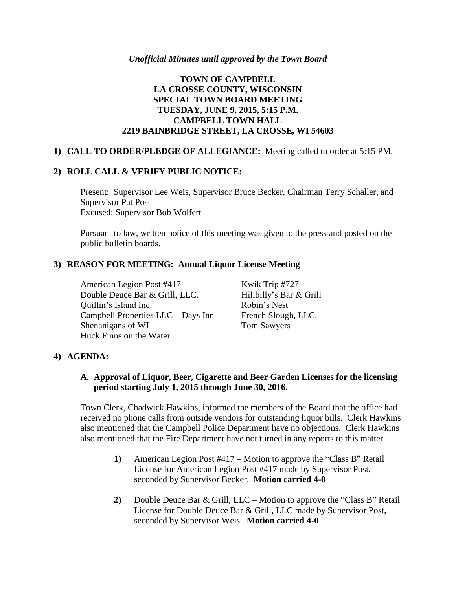# **TOWN OF CAMPBELL LA CROSSE COUNTY, WISCONSIN SPECIAL TOWN BOARD MEETING TUESDAY, JUNE 9, 2015, 5:15 P.M. CAMPBELL TOWN HALL 2219 BAINBRIDGE STREET, LA CROSSE, WI 54603**

## **1) CALL TO ORDER/PLEDGE OF ALLEGIANCE:** Meeting called to order at 5:15 PM.

# **2) ROLL CALL & VERIFY PUBLIC NOTICE:**

Present: Supervisor Lee Weis, Supervisor Bruce Becker, Chairman Terry Schaller, and Supervisor Pat Post Excused: Supervisor Bob Wolfert

Pursuant to law, written notice of this meeting was given to the press and posted on the public bulletin boards.

#### **3) REASON FOR MEETING: Annual Liquor License Meeting**

American Legion Post #417 Kwik Trip #727 Double Deuce Bar & Grill, LLC. Hillbilly's Bar & Grill Quillin's Island Inc. Robin's Nest Campbell Properties LLC – Days Inn French Slough, LLC. Shenanigans of WI Tom Sawyers Huck Finns on the Water

#### **4) AGENDA:**

## **A. Approval of Liquor, Beer, Cigarette and Beer Garden Licenses for the licensing period starting July 1, 2015 through June 30, 2016.**

Town Clerk, Chadwick Hawkins, informed the members of the Board that the office had received no phone calls from outside vendors for outstanding liquor bills. Clerk Hawkins also mentioned that the Campbell Police Department have no objections. Clerk Hawkins also mentioned that the Fire Department have not turned in any reports to this matter.

- **1)** American Legion Post #417 Motion to approve the "Class B" Retail License for American Legion Post #417 made by Supervisor Post, seconded by Supervisor Becker. **Motion carried 4-0**
- **2)** Double Deuce Bar & Grill, LLC Motion to approve the "Class B" Retail License for Double Deuce Bar & Grill, LLC made by Supervisor Post, seconded by Supervisor Weis. **Motion carried 4-0**